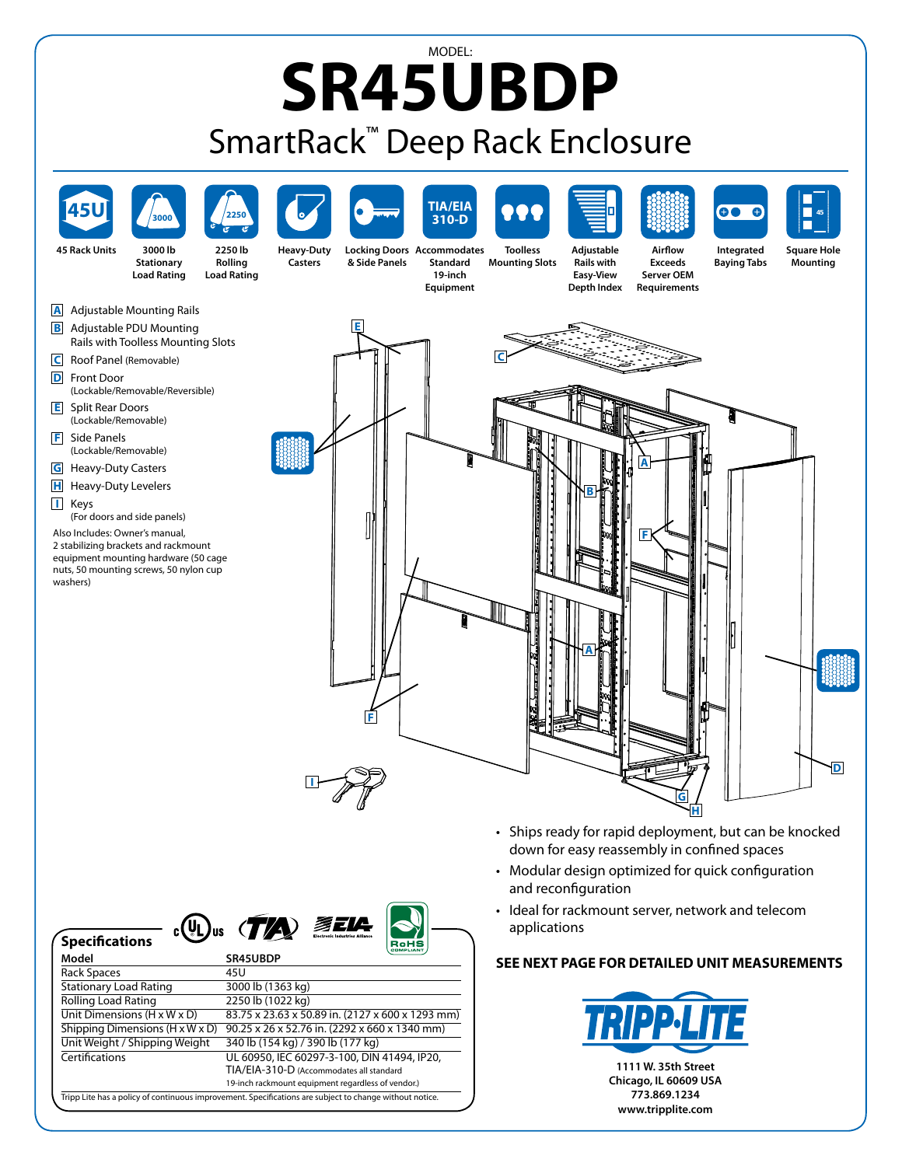## MODEL: **SR45UBDP** SmartRack™ Deep Rack Enclosure

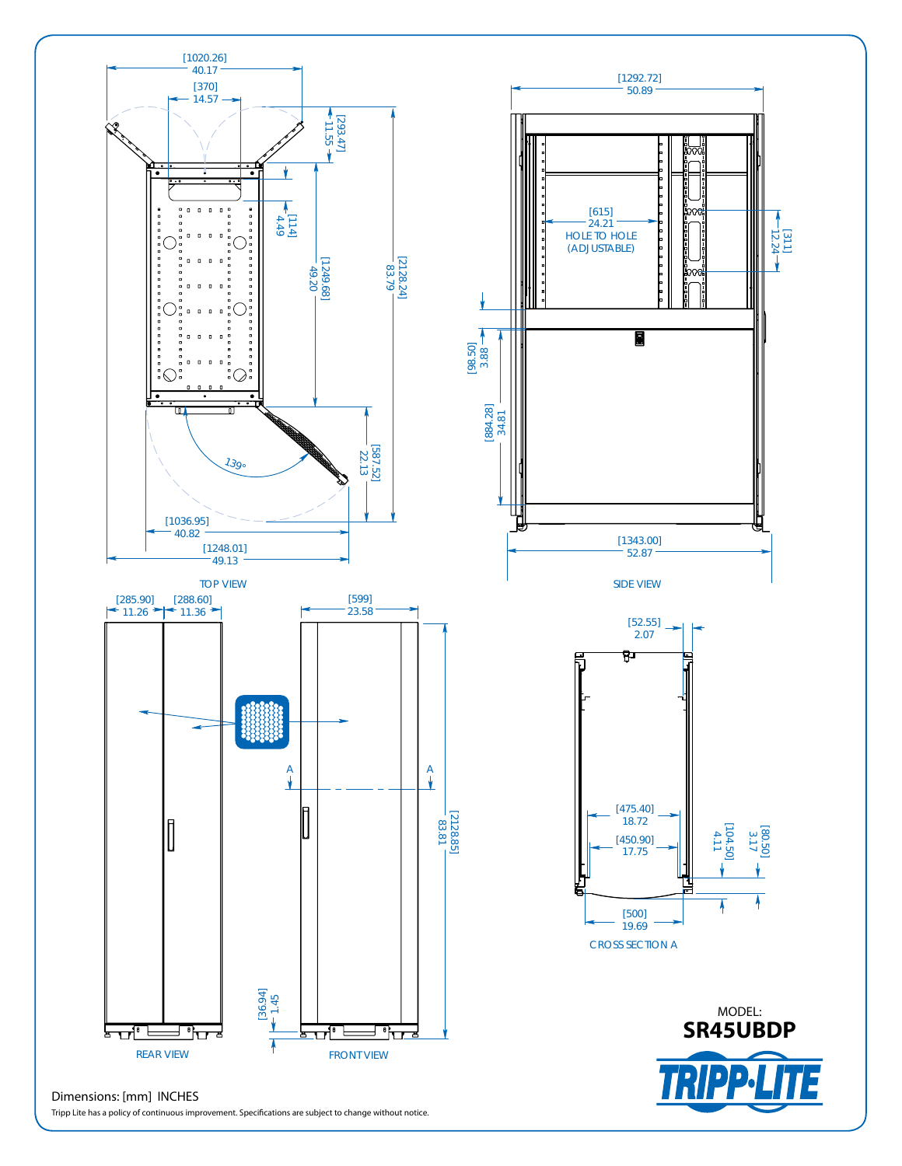

Tripp Lite has a policy of continuous improvement. Specifications are subject to change without notice.